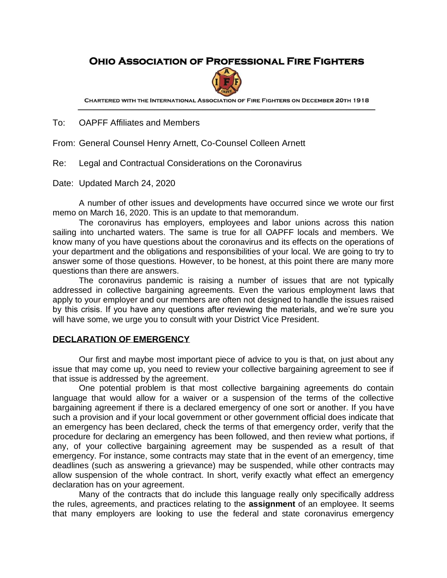# **OHIO ASSOCIATION OF PROFESSIONAL FIRE FIGHTERS**



CHARTERED WITH THE INTERNATIONAL ASSOCIATION OF FIRE FIGHTERS ON DECEMBER 20TH 1918

To: OAPFF Affiliates and Members

From: General Counsel Henry Arnett, Co-Counsel Colleen Arnett

Re: Legal and Contractual Considerations on the Coronavirus

Date: Updated March 24, 2020

A number of other issues and developments have occurred since we wrote our first memo on March 16, 2020. This is an update to that memorandum.

The coronavirus has employers, employees and labor unions across this nation sailing into uncharted waters. The same is true for all OAPFF locals and members. We know many of you have questions about the coronavirus and its effects on the operations of your department and the obligations and responsibilities of your local. We are going to try to answer some of those questions. However, to be honest, at this point there are many more questions than there are answers.

The coronavirus pandemic is raising a number of issues that are not typically addressed in collective bargaining agreements. Even the various employment laws that apply to your employer and our members are often not designed to handle the issues raised by this crisis. If you have any questions after reviewing the materials, and we're sure you will have some, we urge you to consult with your District Vice President.

#### **DECLARATION OF EMERGENCY**

Our first and maybe most important piece of advice to you is that, on just about any issue that may come up, you need to review your collective bargaining agreement to see if that issue is addressed by the agreement.

One potential problem is that most collective bargaining agreements do contain language that would allow for a waiver or a suspension of the terms of the collective bargaining agreement if there is a declared emergency of one sort or another. If you have such a provision and if your local government or other government official does indicate that an emergency has been declared, check the terms of that emergency order, verify that the procedure for declaring an emergency has been followed, and then review what portions, if any, of your collective bargaining agreement may be suspended as a result of that emergency. For instance, some contracts may state that in the event of an emergency, time deadlines (such as answering a grievance) may be suspended, while other contracts may allow suspension of the whole contract. In short, verify exactly what effect an emergency declaration has on your agreement.

Many of the contracts that do include this language really only specifically address the rules, agreements, and practices relating to the **assignment** of an employee. It seems that many employers are looking to use the federal and state coronavirus emergency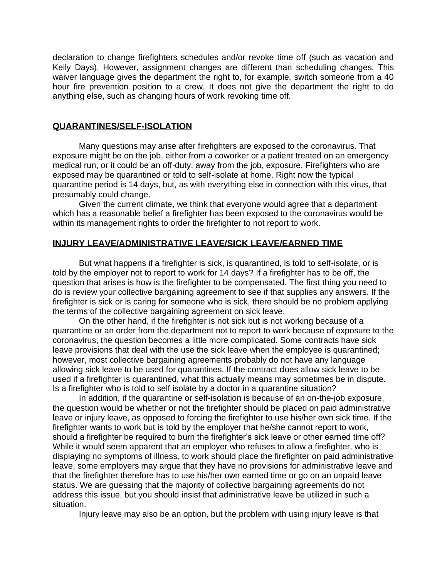declaration to change firefighters schedules and/or revoke time off (such as vacation and Kelly Days). However, assignment changes are different than scheduling changes. This waiver language gives the department the right to, for example, switch someone from a 40 hour fire prevention position to a crew. It does not give the department the right to do anything else, such as changing hours of work revoking time off.

### **QUARANTINES/SELF-ISOLATION**

Many questions may arise after firefighters are exposed to the coronavirus. That exposure might be on the job, either from a coworker or a patient treated on an emergency medical run, or it could be an off-duty, away from the job, exposure. Firefighters who are exposed may be quarantined or told to self-isolate at home. Right now the typical quarantine period is 14 days, but, as with everything else in connection with this virus, that presumably could change.

Given the current climate, we think that everyone would agree that a department which has a reasonable belief a firefighter has been exposed to the coronavirus would be within its management rights to order the firefighter to not report to work.

#### **INJURY LEAVE/ADMINISTRATIVE LEAVE/SICK LEAVE/EARNED TIME**

But what happens if a firefighter is sick, is quarantined, is told to self-isolate, or is told by the employer not to report to work for 14 days? If a firefighter has to be off, the question that arises is how is the firefighter to be compensated. The first thing you need to do is review your collective bargaining agreement to see if that supplies any answers. If the firefighter is sick or is caring for someone who is sick, there should be no problem applying the terms of the collective bargaining agreement on sick leave.

On the other hand, if the firefighter is not sick but is not working because of a quarantine or an order from the department not to report to work because of exposure to the coronavirus, the question becomes a little more complicated. Some contracts have sick leave provisions that deal with the use the sick leave when the employee is quarantined; however, most collective bargaining agreements probably do not have any language allowing sick leave to be used for quarantines. If the contract does allow sick leave to be used if a firefighter is quarantined, what this actually means may sometimes be in dispute. Is a firefighter who is told to self isolate by a doctor in a quarantine situation?

In addition, if the quarantine or self-isolation is because of an on-the-job exposure, the question would be whether or not the firefighter should be placed on paid administrative leave or injury leave, as opposed to forcing the firefighter to use his/her own sick time. If the firefighter wants to work but is told by the employer that he/she cannot report to work, should a firefighter be required to burn the firefighter's sick leave or other earned time off? While it would seem apparent that an employer who refuses to allow a firefighter, who is displaying no symptoms of illness, to work should place the firefighter on paid administrative leave, some employers may argue that they have no provisions for administrative leave and that the firefighter therefore has to use his/her own earned time or go on an unpaid leave status. We are guessing that the majority of collective bargaining agreements do not address this issue, but you should insist that administrative leave be utilized in such a situation.

Injury leave may also be an option, but the problem with using injury leave is that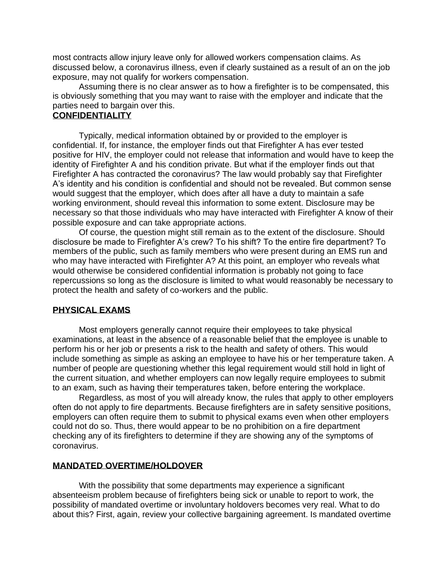most contracts allow injury leave only for allowed workers compensation claims. As discussed below, a coronavirus illness, even if clearly sustained as a result of an on the job exposure, may not qualify for workers compensation.

Assuming there is no clear answer as to how a firefighter is to be compensated, this is obviously something that you may want to raise with the employer and indicate that the parties need to bargain over this.

## **CONFIDENTIALITY**

Typically, medical information obtained by or provided to the employer is confidential. If, for instance, the employer finds out that Firefighter A has ever tested positive for HIV, the employer could not release that information and would have to keep the identity of Firefighter A and his condition private. But what if the employer finds out that Firefighter A has contracted the coronavirus? The law would probably say that Firefighter A's identity and his condition is confidential and should not be revealed. But common sense would suggest that the employer, which does after all have a duty to maintain a safe working environment, should reveal this information to some extent. Disclosure may be necessary so that those individuals who may have interacted with Firefighter A know of their possible exposure and can take appropriate actions.

Of course, the question might still remain as to the extent of the disclosure. Should disclosure be made to Firefighter A's crew? To his shift? To the entire fire department? To members of the public, such as family members who were present during an EMS run and who may have interacted with Firefighter A? At this point, an employer who reveals what would otherwise be considered confidential information is probably not going to face repercussions so long as the disclosure is limited to what would reasonably be necessary to protect the health and safety of co-workers and the public.

#### **PHYSICAL EXAMS**

Most employers generally cannot require their employees to take physical examinations, at least in the absence of a reasonable belief that the employee is unable to perform his or her job or presents a risk to the health and safety of others. This would include something as simple as asking an employee to have his or her temperature taken. A number of people are questioning whether this legal requirement would still hold in light of the current situation, and whether employers can now legally require employees to submit to an exam, such as having their temperatures taken, before entering the workplace.

Regardless, as most of you will already know, the rules that apply to other employers often do not apply to fire departments. Because firefighters are in safety sensitive positions, employers can often require them to submit to physical exams even when other employers could not do so. Thus, there would appear to be no prohibition on a fire department checking any of its firefighters to determine if they are showing any of the symptoms of coronavirus.

#### **MANDATED OVERTIME/HOLDOVER**

With the possibility that some departments may experience a significant absenteeism problem because of firefighters being sick or unable to report to work, the possibility of mandated overtime or involuntary holdovers becomes very real. What to do about this? First, again, review your collective bargaining agreement. Is mandated overtime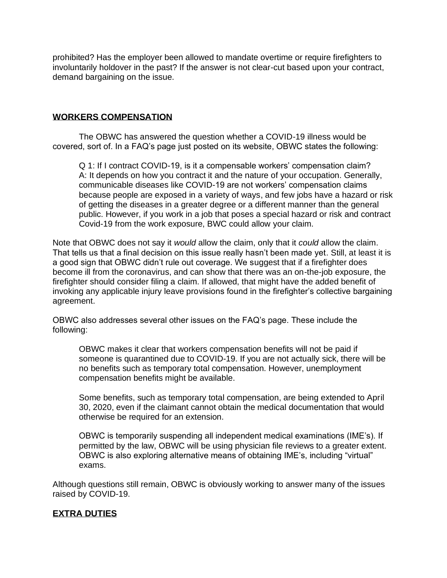prohibited? Has the employer been allowed to mandate overtime or require firefighters to involuntarily holdover in the past? If the answer is not clear-cut based upon your contract, demand bargaining on the issue.

## **WORKERS COMPENSATION**

The OBWC has answered the question whether a COVID-19 illness would be covered, sort of. In a FAQ's page just posted on its website, OBWC states the following:

Q 1: If I contract COVID-19, is it a compensable workers' compensation claim? A: It depends on how you contract it and the nature of your occupation. Generally, communicable diseases like COVID-19 are not workers' compensation claims because people are exposed in a variety of ways, and few jobs have a hazard or risk of getting the diseases in a greater degree or a different manner than the general public. However, if you work in a job that poses a special hazard or risk and contract Covid-19 from the work exposure, BWC could allow your claim.

Note that OBWC does not say it *would* allow the claim, only that it *could* allow the claim. That tells us that a final decision on this issue really hasn't been made yet. Still, at least it is a good sign that OBWC didn't rule out coverage. We suggest that if a firefighter does become ill from the coronavirus, and can show that there was an on-the-job exposure, the firefighter should consider filing a claim. If allowed, that might have the added benefit of invoking any applicable injury leave provisions found in the firefighter's collective bargaining agreement.

OBWC also addresses several other issues on the FAQ's page. These include the following:

OBWC makes it clear that workers compensation benefits will not be paid if someone is quarantined due to COVID-19. If you are not actually sick, there will be no benefits such as temporary total compensation. However, unemployment compensation benefits might be available.

Some benefits, such as temporary total compensation, are being extended to April 30, 2020, even if the claimant cannot obtain the medical documentation that would otherwise be required for an extension.

OBWC is temporarily suspending all independent medical examinations (IME's). If permitted by the law, OBWC will be using physician file reviews to a greater extent. OBWC is also exploring alternative means of obtaining IME's, including "virtual" exams.

Although questions still remain, OBWC is obviously working to answer many of the issues raised by COVID-19.

## **EXTRA DUTIES**